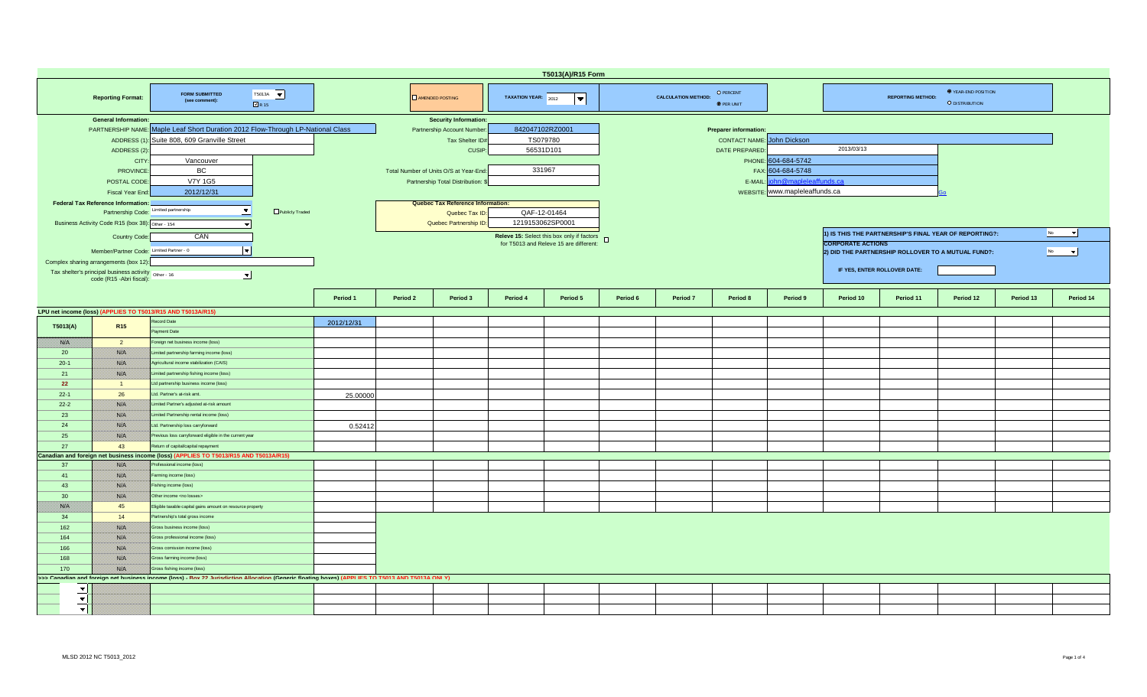| T5013(A)/R15 Form               |                                                                                                                                                                                                                                                                                                                                                                                                                                                                                        |                                                                                                                                                                                                                                                                                                                     |            |          |                                                                                                                                                                                                                                                             |                     |                                                                                                                                               |          |                            |                                                                                               |                                                                                                    |                                                                                                        |                                                                                    |                                       |           |                       |  |  |
|---------------------------------|----------------------------------------------------------------------------------------------------------------------------------------------------------------------------------------------------------------------------------------------------------------------------------------------------------------------------------------------------------------------------------------------------------------------------------------------------------------------------------------|---------------------------------------------------------------------------------------------------------------------------------------------------------------------------------------------------------------------------------------------------------------------------------------------------------------------|------------|----------|-------------------------------------------------------------------------------------------------------------------------------------------------------------------------------------------------------------------------------------------------------------|---------------------|-----------------------------------------------------------------------------------------------------------------------------------------------|----------|----------------------------|-----------------------------------------------------------------------------------------------|----------------------------------------------------------------------------------------------------|--------------------------------------------------------------------------------------------------------|------------------------------------------------------------------------------------|---------------------------------------|-----------|-----------------------|--|--|
|                                 | <b>Reporting Format:</b>                                                                                                                                                                                                                                                                                                                                                                                                                                                               | T5013A $\vert \blacktriangledown \vert$<br><b>FORM SUBMITTED</b><br>(see comment):<br>$\Box$ R15                                                                                                                                                                                                                    |            |          | <b>DAMENDED POSTING</b>                                                                                                                                                                                                                                     | TAXATION YEAR: 2012 | $\overline{\phantom{a}}$                                                                                                                      |          | <b>CALCULATION METHOD:</b> | O PERCENT<br><b>O</b> PER UNIT                                                                |                                                                                                    |                                                                                                        | <b>REPORTING METHOD:</b>                                                           | O YEAR-END POSITION<br>O DISTRIBUTION |           |                       |  |  |
|                                 | <b>General Information:</b><br>PARTNERSHIP NAME: Maple Leaf Short Duration 2012 Flow-Through LP-National Class<br>Suite 808, 609 Granville Street<br>ADDRESS (1):<br>ADDRESS (2)<br>Vancouver<br>CITY<br>BC<br><b>PROVINCE</b><br>POSTAL CODE<br>V7Y 1G5<br>2012/12/31<br>Fiscal Year End:<br><b>Federal Tax Reference Information:</b><br>Partnership Code: Limited partnership<br>$\blacktriangledown$<br>Publicly Traded<br>Business Activity Code R15 (box 38): Other - 154<br>CAN |                                                                                                                                                                                                                                                                                                                     |            |          | <b>Security Information:</b><br>Partnership Account Number<br>Tax Shelter ID#<br><b>CUSIP</b><br>Total Number of Units O/S at Year-End:<br>Partnership Total Distribution:<br>Quebec Tax Reference Information:<br>Quebec Tax ID:<br>Quebec Partnership ID: |                     | 842047102RZ0001<br>TS079780<br>56531D101<br>331967<br>QAF-12-01464<br>1219153062SP0001<br>Releve 15: Select this box only if factors <b>D</b> |          |                            | <b>Preparer information:</b><br><b>CONTACT NAME: John Dickson</b><br>DATE PREPARED<br>E-MAIL: | PHONE: 604-684-5742<br>FAX: 604-684-5748<br>nn@mapleleaffunds.ca<br>WEBSITE: www.mapleleaffunds.ca | 2013/03/13<br>No<br>$\overline{\phantom{a}}$<br>1) IS THIS THE PARTNERSHIP'S FINAL YEAR OF REPORTING?: |                                                                                    |                                       |           |                       |  |  |
|                                 | Country Code:<br>Member/Partner Code: Limited Partner - 0<br>Complex sharing arrangements (box 12):<br>Tax shelter's principal business activity   Other - 16<br>code (R15 -Abri fiscal):                                                                                                                                                                                                                                                                                              | $\left\vert \mathbf{-}\right\vert$<br>$\blacktriangledown$                                                                                                                                                                                                                                                          |            |          |                                                                                                                                                                                                                                                             |                     | for T5013 and Releve 15 are different:                                                                                                        |          |                            |                                                                                               |                                                                                                    | <b>CORPORATE ACTIONS</b>                                                                               | 2) DID THE PARTNERSHIP ROLLOVER TO A MUTUAL FUND?:<br>IF YES, ENTER ROLLOVER DATE: |                                       | No.       | $\vert \bullet \vert$ |  |  |
|                                 |                                                                                                                                                                                                                                                                                                                                                                                                                                                                                        |                                                                                                                                                                                                                                                                                                                     | Period 1   | Period 2 | Period 3                                                                                                                                                                                                                                                    | Period 4            | Period 5                                                                                                                                      | Period 6 | Period 7                   | Period 8                                                                                      | Period 9                                                                                           | Period 10                                                                                              | Period 11                                                                          | Period 12                             | Period 13 | Period 14             |  |  |
| T5013(A)                        | <b>R15</b>                                                                                                                                                                                                                                                                                                                                                                                                                                                                             | LPU net income (loss) (APPLIES TO T5013/R15 AND T5013A/R15)<br>ecord Date<br>avment Date                                                                                                                                                                                                                            | 2012/12/31 |          |                                                                                                                                                                                                                                                             |                     |                                                                                                                                               |          |                            |                                                                                               |                                                                                                    |                                                                                                        |                                                                                    |                                       |           |                       |  |  |
| <b>SALE</b>                     | $\overline{2}$                                                                                                                                                                                                                                                                                                                                                                                                                                                                         | oreign net business income (loss)                                                                                                                                                                                                                                                                                   |            |          |                                                                                                                                                                                                                                                             |                     |                                                                                                                                               |          |                            |                                                                                               |                                                                                                    |                                                                                                        |                                                                                    |                                       |           |                       |  |  |
| 20                              | <u> Birth C</u>                                                                                                                                                                                                                                                                                                                                                                                                                                                                        | Limited partnership farming income (loss)                                                                                                                                                                                                                                                                           |            |          |                                                                                                                                                                                                                                                             |                     |                                                                                                                                               |          |                            |                                                                                               |                                                                                                    |                                                                                                        |                                                                                    |                                       |           |                       |  |  |
| $20-1$                          | <b>BALLA</b>                                                                                                                                                                                                                                                                                                                                                                                                                                                                           | Agricultural income stabilization (CAIS)                                                                                                                                                                                                                                                                            |            |          |                                                                                                                                                                                                                                                             |                     |                                                                                                                                               |          |                            |                                                                                               |                                                                                                    |                                                                                                        |                                                                                    |                                       |           |                       |  |  |
| 21                              | <b>BARTA</b>                                                                                                                                                                                                                                                                                                                                                                                                                                                                           | imited partnership fishing income (loss)                                                                                                                                                                                                                                                                            |            |          |                                                                                                                                                                                                                                                             |                     |                                                                                                                                               |          |                            |                                                                                               |                                                                                                    |                                                                                                        |                                                                                    |                                       |           |                       |  |  |
| 22                              | $\overline{1}$                                                                                                                                                                                                                                                                                                                                                                                                                                                                         | Ltd partnership business income (loss)                                                                                                                                                                                                                                                                              |            |          |                                                                                                                                                                                                                                                             |                     |                                                                                                                                               |          |                            |                                                                                               |                                                                                                    |                                                                                                        |                                                                                    |                                       |           |                       |  |  |
| $22 - 1$                        | 26                                                                                                                                                                                                                                                                                                                                                                                                                                                                                     | Ltd. Partner's at-risk amt.                                                                                                                                                                                                                                                                                         | 25.00000   |          |                                                                                                                                                                                                                                                             |                     |                                                                                                                                               |          |                            |                                                                                               |                                                                                                    |                                                                                                        |                                                                                    |                                       |           |                       |  |  |
| $22-2$                          | <b>SAN</b>                                                                                                                                                                                                                                                                                                                                                                                                                                                                             | Limited Partner's adjusted at-risk amount                                                                                                                                                                                                                                                                           |            |          |                                                                                                                                                                                                                                                             |                     |                                                                                                                                               |          |                            |                                                                                               |                                                                                                    |                                                                                                        |                                                                                    |                                       |           |                       |  |  |
| 23                              | <b>BAN</b>                                                                                                                                                                                                                                                                                                                                                                                                                                                                             | Limited Partnership rental income (loss)                                                                                                                                                                                                                                                                            |            |          |                                                                                                                                                                                                                                                             |                     |                                                                                                                                               |          |                            |                                                                                               |                                                                                                    |                                                                                                        |                                                                                    |                                       |           |                       |  |  |
| 24                              | BS CO                                                                                                                                                                                                                                                                                                                                                                                                                                                                                  | Ltd. Partnership loss carryforward<br>Previous loss carryforward eligible in the current year                                                                                                                                                                                                                       | 0.52412    |          |                                                                                                                                                                                                                                                             |                     |                                                                                                                                               |          |                            |                                                                                               |                                                                                                    |                                                                                                        |                                                                                    |                                       |           |                       |  |  |
| 25<br>27                        | <b>BAR</b><br>43                                                                                                                                                                                                                                                                                                                                                                                                                                                                       | eturn of capital/capital repayment                                                                                                                                                                                                                                                                                  |            |          |                                                                                                                                                                                                                                                             |                     |                                                                                                                                               |          |                            |                                                                                               |                                                                                                    |                                                                                                        |                                                                                    |                                       |           |                       |  |  |
|                                 |                                                                                                                                                                                                                                                                                                                                                                                                                                                                                        | Canadian and foreign net business income (loss) (APPLIES TO T5013/R15 AND T5013A/R15)                                                                                                                                                                                                                               |            |          |                                                                                                                                                                                                                                                             |                     |                                                                                                                                               |          |                            |                                                                                               |                                                                                                    |                                                                                                        |                                                                                    |                                       |           |                       |  |  |
| 37                              | <b>BALLA</b>                                                                                                                                                                                                                                                                                                                                                                                                                                                                           | rofessional income (loss)                                                                                                                                                                                                                                                                                           |            |          |                                                                                                                                                                                                                                                             |                     |                                                                                                                                               |          |                            |                                                                                               |                                                                                                    |                                                                                                        |                                                                                    |                                       |           |                       |  |  |
| 41                              | <b>BALLA</b>                                                                                                                                                                                                                                                                                                                                                                                                                                                                           | arming income (loss)                                                                                                                                                                                                                                                                                                |            |          |                                                                                                                                                                                                                                                             |                     |                                                                                                                                               |          |                            |                                                                                               |                                                                                                    |                                                                                                        |                                                                                    |                                       |           |                       |  |  |
| 43                              | 1880 B                                                                                                                                                                                                                                                                                                                                                                                                                                                                                 | Fishing income (loss)                                                                                                                                                                                                                                                                                               |            |          |                                                                                                                                                                                                                                                             |                     |                                                                                                                                               |          |                            |                                                                                               |                                                                                                    |                                                                                                        |                                                                                    |                                       |           |                       |  |  |
| 30                              | 1980 B                                                                                                                                                                                                                                                                                                                                                                                                                                                                                 | Other income <no losses=""></no>                                                                                                                                                                                                                                                                                    |            |          |                                                                                                                                                                                                                                                             |                     |                                                                                                                                               |          |                            |                                                                                               |                                                                                                    |                                                                                                        |                                                                                    |                                       |           |                       |  |  |
| <b>BATEL</b>                    | 45                                                                                                                                                                                                                                                                                                                                                                                                                                                                                     | Eligible taxable capital gains amount on resource property                                                                                                                                                                                                                                                          |            |          |                                                                                                                                                                                                                                                             |                     |                                                                                                                                               |          |                            |                                                                                               |                                                                                                    |                                                                                                        |                                                                                    |                                       |           |                       |  |  |
| 34                              | 14                                                                                                                                                                                                                                                                                                                                                                                                                                                                                     | Partnership's total gross income                                                                                                                                                                                                                                                                                    |            |          |                                                                                                                                                                                                                                                             |                     |                                                                                                                                               |          |                            |                                                                                               |                                                                                                    |                                                                                                        |                                                                                    |                                       |           |                       |  |  |
| 162<br>164<br>166<br>168<br>170 | <b>BALLA</b><br><b>SALE</b><br><b>SALE</b><br><b>BAR</b><br>1880 B                                                                                                                                                                                                                                                                                                                                                                                                                     | Gross business income (loss)<br>Gross professional income (loss)<br>Gross comission income (loss)<br>Gross farming income (loss)<br>Gross fishing income (loss)<br>>>> Canadian and foreign net business income (loss) - Box 22 Jurisdiction Allocation (Generic floating boxes) (APPLIES TO T5013 AND T5013A ONLY) |            |          |                                                                                                                                                                                                                                                             |                     |                                                                                                                                               |          |                            |                                                                                               |                                                                                                    |                                                                                                        |                                                                                    |                                       |           |                       |  |  |
|                                 |                                                                                                                                                                                                                                                                                                                                                                                                                                                                                        |                                                                                                                                                                                                                                                                                                                     |            |          |                                                                                                                                                                                                                                                             |                     |                                                                                                                                               |          |                            |                                                                                               |                                                                                                    |                                                                                                        |                                                                                    |                                       |           |                       |  |  |
| $\blacktriangledown$            |                                                                                                                                                                                                                                                                                                                                                                                                                                                                                        |                                                                                                                                                                                                                                                                                                                     |            |          |                                                                                                                                                                                                                                                             |                     |                                                                                                                                               |          |                            |                                                                                               |                                                                                                    |                                                                                                        |                                                                                    |                                       |           |                       |  |  |
| $\blacktriangledown$            |                                                                                                                                                                                                                                                                                                                                                                                                                                                                                        |                                                                                                                                                                                                                                                                                                                     |            |          |                                                                                                                                                                                                                                                             |                     |                                                                                                                                               |          |                            |                                                                                               |                                                                                                    |                                                                                                        |                                                                                    |                                       |           |                       |  |  |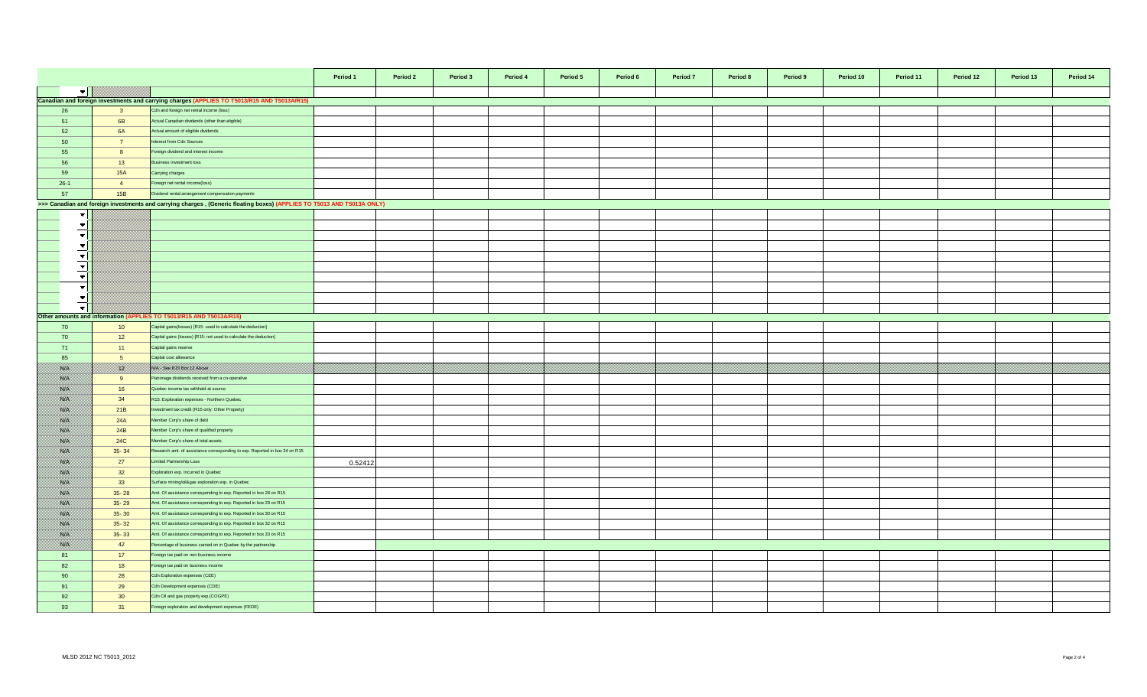|                             |                 |                                                                                                                        | Period 1 | Period 2 | Period 3 | Period 4 | Period 5 | Period 6 | Period 7 | Period 8 | Period 9 | Period 10 | Period 11 | Period 12 | Period 13 | Period 14 |
|-----------------------------|-----------------|------------------------------------------------------------------------------------------------------------------------|----------|----------|----------|----------|----------|----------|----------|----------|----------|-----------|-----------|-----------|-----------|-----------|
| $\blacktriangledown$ $\mid$ |                 |                                                                                                                        |          |          |          |          |          |          |          |          |          |           |           |           |           |           |
|                             |                 | Canadian and foreign investments and carrying charges (APPLIES TO T5013/R15 AND T5013A/R15)                            |          |          |          |          |          |          |          |          |          |           |           |           |           |           |
| 26                          | $\mathbf{3}$    | Cdn and foreign net rental income (loss)                                                                               |          |          |          |          |          |          |          |          |          |           |           |           |           |           |
| 51                          | 6B              | Actual Canadian dividends (other than eligible)                                                                        |          |          |          |          |          |          |          |          |          |           |           |           |           |           |
| 52                          | <b>6A</b>       | Actual amount of eligible dividends                                                                                    |          |          |          |          |          |          |          |          |          |           |           |           |           |           |
| 50                          | $\overline{7}$  | Interest from Cdn Sources                                                                                              |          |          |          |          |          |          |          |          |          |           |           |           |           |           |
| 55                          | 8               | Foreign dividend and interest income                                                                                   |          |          |          |          |          |          |          |          |          |           |           |           |           |           |
| 56                          | 13              | Business investment loss                                                                                               |          |          |          |          |          |          |          |          |          |           |           |           |           |           |
| 59                          | 15A             | Carrying charges                                                                                                       |          |          |          |          |          |          |          |          |          |           |           |           |           |           |
| $26-1$                      | $\overline{4}$  | Foreign net rental income(loss)                                                                                        |          |          |          |          |          |          |          |          |          |           |           |           |           |           |
| 57                          | 15B             | Dividend rental arrangement compensation payments                                                                      |          |          |          |          |          |          |          |          |          |           |           |           |           |           |
|                             |                 | >>> Canadian and foreign investments and carrying charges, (Generic floating boxes) (APPLIES TO T5013 AND T5013A ONLY) |          |          |          |          |          |          |          |          |          |           |           |           |           |           |
| ▼∣                          |                 |                                                                                                                        |          |          |          |          |          |          |          |          |          |           |           |           |           |           |
|                             |                 |                                                                                                                        |          |          |          |          |          |          |          |          |          |           |           |           |           |           |
| $\vert \mathbf{v} \vert$    |                 |                                                                                                                        |          |          |          |          |          |          |          |          |          |           |           |           |           |           |
| $\blacktriangledown$        |                 |                                                                                                                        |          |          |          |          |          |          |          |          |          |           |           |           |           |           |
| ╺┳│                         |                 |                                                                                                                        |          |          |          |          |          |          |          |          |          |           |           |           |           |           |
| $\overline{\phantom{0}}$    |                 |                                                                                                                        |          |          |          |          |          |          |          |          |          |           |           |           |           |           |
| $\blacktriangledown$        |                 |                                                                                                                        |          |          |          |          |          |          |          |          |          |           |           |           |           |           |
| $\blacktriangledown$        |                 |                                                                                                                        |          |          |          |          |          |          |          |          |          |           |           |           |           |           |
| $\blacktriangledown$        |                 |                                                                                                                        |          |          |          |          |          |          |          |          |          |           |           |           |           |           |
| ╺╾│                         |                 |                                                                                                                        |          |          |          |          |          |          |          |          |          |           |           |           |           |           |
| ·w l                        |                 |                                                                                                                        |          |          |          |          |          |          |          |          |          |           |           |           |           |           |
|                             |                 | Other amounts and information (APPLIES TO T5013/R15 AND T5013A/R15)                                                    |          |          |          |          |          |          |          |          |          |           |           |           |           |           |
| 70                          | 10              | Capital gains (losses) [R15: used to calculate the deduction]                                                          |          |          |          |          |          |          |          |          |          |           |           |           |           |           |
| 70                          | 12              | Capital gains (losses) [R15: not used to calculate the deduction]                                                      |          |          |          |          |          |          |          |          |          |           |           |           |           |           |
| 71                          | 11              | Capital gains reserve                                                                                                  |          |          |          |          |          |          |          |          |          |           |           |           |           |           |
| 85                          | 5 <sup>5</sup>  | Capital cost allowance                                                                                                 |          |          |          |          |          |          |          |          |          |           |           |           |           |           |
| <b>Sirika</b>               | <u> Kill</u>    | <b>NIA SOR RX5 BOX X2 ADDING</b>                                                                                       |          |          |          |          |          |          |          |          |          |           |           |           |           |           |
| <b>Sida</b>                 | 9               | Patronage dividends received from a co-operative                                                                       |          |          |          |          |          |          |          |          |          |           |           |           |           |           |
| <b>SALE</b>                 | 16              | Quebec income tax withheld at source                                                                                   |          |          |          |          |          |          |          |          |          |           |           |           |           |           |
| 88. V                       | 34              | R15: Exploration expenses - Northern Quebec                                                                            |          |          |          |          |          |          |          |          |          |           |           |           |           |           |
| <b>SSIE</b>                 | 21B             | nvestment tax credit (R15 only: Other Property)                                                                        |          |          |          |          |          |          |          |          |          |           |           |           |           |           |
| <b>SSIE</b>                 | 24A             | Member Corp's share of debt                                                                                            |          |          |          |          |          |          |          |          |          |           |           |           |           |           |
| <b>Side S</b>               | 24B             | Member Corp's share of qualified property                                                                              |          |          |          |          |          |          |          |          |          |           |           |           |           |           |
| <b>SYLV</b>                 | <b>24C</b>      | Member Corp's share of total assets                                                                                    |          |          |          |          |          |          |          |          |          |           |           |           |           |           |
| <b>Side</b>                 | $35 - 34$       | Research amt. of assistance corresponding to exp. Reported in box 34 on R15                                            |          |          |          |          |          |          |          |          |          |           |           |           |           |           |
| <b>SSIE</b>                 | 27              | Limited Partnership Loss                                                                                               | 0.52412  |          |          |          |          |          |          |          |          |           |           |           |           |           |
| <b>Sida</b>                 | 32              | Exploration exp. Incurred in Quebec                                                                                    |          |          |          |          |          |          |          |          |          |           |           |           |           |           |
| <b>SALE</b>                 | 33              | Surface mining/oil&gas exploration exp. in Quebec                                                                      |          |          |          |          |          |          |          |          |          |           |           |           |           |           |
| <b>880 BW</b>               | $35 - 28$       | Amt. Of assistance corresponding to exp. Reported in box 28 on R15                                                     |          |          |          |          |          |          |          |          |          |           |           |           |           |           |
| ssiel.                      | $35 - 29$       | Amt. Of assistance corresponding to exp. Reported in box 29 on R15                                                     |          |          |          |          |          |          |          |          |          |           |           |           |           |           |
| <b>SSIE</b>                 | $35 - 30$       | Amt. Of assistance corresponding to exp. Reported in box 30 on R15                                                     |          |          |          |          |          |          |          |          |          |           |           |           |           |           |
| <b>Side</b>                 | $35 - 32$       | Amt. Of assistance corresponding to exp. Reported in box 32 on R15                                                     |          |          |          |          |          |          |          |          |          |           |           |           |           |           |
|                             |                 |                                                                                                                        |          |          |          |          |          |          |          |          |          |           |           |           |           |           |
| <b>Side S</b>               | $35 - 33$       | Amt. Of assistance corresponding to exp. Reported in box 33 on R15                                                     |          |          |          |          |          |          |          |          |          |           |           |           |           |           |
| <b>Side S</b>               | 42              | Percentage of business carried on in Quebec by the partnership                                                         |          |          |          |          |          |          |          |          |          |           |           |           |           |           |
| 81                          | 17              | oreign tax paid on non business income                                                                                 |          |          |          |          |          |          |          |          |          |           |           |           |           |           |
| 82                          | 18              | Foreign tax paid on business income                                                                                    |          |          |          |          |          |          |          |          |          |           |           |           |           |           |
| 90                          | 28              | Cdn Exploration expenses (CEE)                                                                                         |          |          |          |          |          |          |          |          |          |           |           |           |           |           |
| 91                          | 29              | Cdn Development expenses (CDE)                                                                                         |          |          |          |          |          |          |          |          |          |           |           |           |           |           |
| 92                          | 30 <sup>°</sup> | Cdn Oil and gas property exp.(COGPE)                                                                                   |          |          |          |          |          |          |          |          |          |           |           |           |           |           |
| 93                          | 31              | Foreign exploration and development expenses (FEDE)                                                                    |          |          |          |          |          |          |          |          |          |           |           |           |           |           |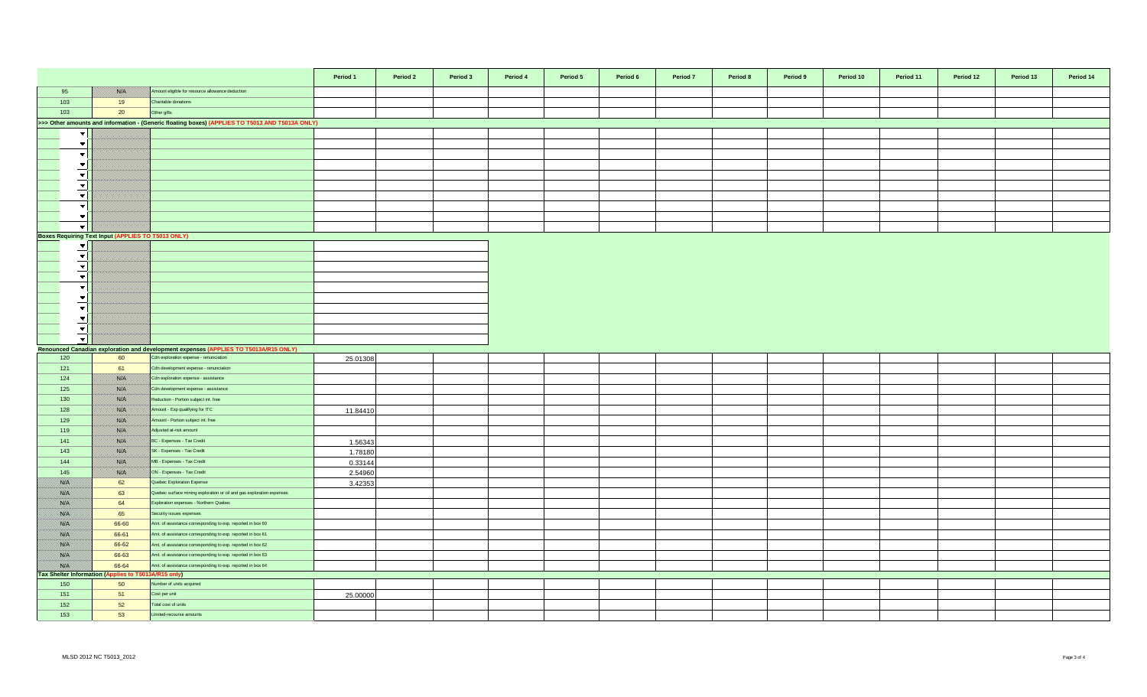|                          |                                                      |                                                                                                 | Period 1 | Period 2 | Period 3 | Period 4 | Period 5 | Period 6 | Period 7 | Period 8 | Period 9 | Period 10 | Period 11 | Period 12 | Period 13 | Period 14 |
|--------------------------|------------------------------------------------------|-------------------------------------------------------------------------------------------------|----------|----------|----------|----------|----------|----------|----------|----------|----------|-----------|-----------|-----------|-----------|-----------|
| 95                       | <b>SOFIA</b>                                         | Amount eligible for resource allowance deduction                                                |          |          |          |          |          |          |          |          |          |           |           |           |           |           |
| 103                      | 19                                                   | Charitable donations                                                                            |          |          |          |          |          |          |          |          |          |           |           |           |           |           |
| 103                      | 20                                                   | Other gifts                                                                                     |          |          |          |          |          |          |          |          |          |           |           |           |           |           |
|                          |                                                      | >>> Other amounts and information - (Generic floating boxes) (APPLIES TO T5013 AND T5013A ONLY) |          |          |          |          |          |          |          |          |          |           |           |           |           |           |
| $\overline{\phantom{a}}$ |                                                      |                                                                                                 |          |          |          |          |          |          |          |          |          |           |           |           |           |           |
| $\blacktriangledown$     |                                                      |                                                                                                 |          |          |          |          |          |          |          |          |          |           |           |           |           |           |
| $\overline{\phantom{a}}$ |                                                      |                                                                                                 |          |          |          |          |          |          |          |          |          |           |           |           |           |           |
| $\blacktriangledown$     |                                                      |                                                                                                 |          |          |          |          |          |          |          |          |          |           |           |           |           |           |
| $\blacktriangledown$     |                                                      |                                                                                                 |          |          |          |          |          |          |          |          |          |           |           |           |           |           |
| $\overline{\phantom{a}}$ |                                                      |                                                                                                 |          |          |          |          |          |          |          |          |          |           |           |           |           |           |
| $\blacktriangledown$     |                                                      |                                                                                                 |          |          |          |          |          |          |          |          |          |           |           |           |           |           |
| $\overline{\phantom{a}}$ |                                                      |                                                                                                 |          |          |          |          |          |          |          |          |          |           |           |           |           |           |
| $\overline{\phantom{a}}$ |                                                      |                                                                                                 |          |          |          |          |          |          |          |          |          |           |           |           |           |           |
| $\mathbf{v}$             |                                                      |                                                                                                 |          |          |          |          |          |          |          |          |          |           |           |           |           |           |
|                          | Boxes Requiring Text Input (APPLIES TO T5013 ONLY)   |                                                                                                 |          |          |          |          |          |          |          |          |          |           |           |           |           |           |
| $\mathbf{v}$             |                                                      |                                                                                                 |          |          |          |          |          |          |          |          |          |           |           |           |           |           |
| $\overline{\phantom{a}}$ |                                                      |                                                                                                 |          |          |          |          |          |          |          |          |          |           |           |           |           |           |
| $\blacktriangledown$     |                                                      |                                                                                                 |          |          |          |          |          |          |          |          |          |           |           |           |           |           |
| $\blacktriangledown$     |                                                      |                                                                                                 |          |          |          |          |          |          |          |          |          |           |           |           |           |           |
| $\overline{\phantom{a}}$ |                                                      |                                                                                                 |          |          |          |          |          |          |          |          |          |           |           |           |           |           |
| $\overline{\phantom{a}}$ |                                                      |                                                                                                 |          |          |          |          |          |          |          |          |          |           |           |           |           |           |
| $\blacktriangledown$     |                                                      |                                                                                                 |          |          |          |          |          |          |          |          |          |           |           |           |           |           |
| $\overline{\phantom{a}}$ |                                                      |                                                                                                 |          |          |          |          |          |          |          |          |          |           |           |           |           |           |
| $\blacktriangledown$     |                                                      |                                                                                                 |          |          |          |          |          |          |          |          |          |           |           |           |           |           |
| $\overline{\phantom{a}}$ |                                                      |                                                                                                 |          |          |          |          |          |          |          |          |          |           |           |           |           |           |
|                          |                                                      | Renounced Canadian exploration and development expenses (APPLIES TO T5013A/R15 ONLY)            |          |          |          |          |          |          |          |          |          |           |           |           |           |           |
| 120                      | 60                                                   | Cdn exploration expense - renunciation                                                          | 25.01308 |          |          |          |          |          |          |          |          |           |           |           |           |           |
| 121                      | 61                                                   | Cdn development expense - renunciation                                                          |          |          |          |          |          |          |          |          |          |           |           |           |           |           |
| 124                      | <b>SELEN</b>                                         | Cdn exploration expense - assistance                                                            |          |          |          |          |          |          |          |          |          |           |           |           |           |           |
| 125                      | <b>SOFIA</b>                                         | Cdn development expense - assistance                                                            |          |          |          |          |          |          |          |          |          |           |           |           |           |           |
| 130                      | <b>SYLV</b>                                          | Reduction - Portion subject int. free                                                           |          |          |          |          |          |          |          |          |          |           |           |           |           |           |
| 128                      | <b>SYLV</b>                                          | Amount - Exp qualifying for ITC                                                                 | 11.84410 |          |          |          |          |          |          |          |          |           |           |           |           |           |
| 129                      | <b>SYLV</b>                                          | mount - Portion subject int. free                                                               |          |          |          |          |          |          |          |          |          |           |           |           |           |           |
| 119                      | <b>BAR</b>                                           | Adjusted at-risk amount                                                                         |          |          |          |          |          |          |          |          |          |           |           |           |           |           |
| 141                      | <b>SALE</b>                                          | BC - Expenses - Tax Credit                                                                      | 1.56343  |          |          |          |          |          |          |          |          |           |           |           |           |           |
| 143                      | SSO C                                                | SK - Expenses - Tax Credit                                                                      | 1.78180  |          |          |          |          |          |          |          |          |           |           |           |           |           |
| 144                      | <b>SOFIA</b>                                         | MB - Expenses - Tax Credit                                                                      | 0.33144  |          |          |          |          |          |          |          |          |           |           |           |           |           |
| 145                      | <b>SELEN</b>                                         | ON - Expenses - Tax Credit                                                                      | 2.54960  |          |          |          |          |          |          |          |          |           |           |           |           |           |
| <b>BAR</b>               | 62                                                   | Quebec Exploration Expense                                                                      | 3.42353  |          |          |          |          |          |          |          |          |           |           |           |           |           |
| 1880 M                   | 63                                                   | Quebec surface mining exploration or oil and gas exploration expenses                           |          |          |          |          |          |          |          |          |          |           |           |           |           |           |
| 28. E                    | 64                                                   | Exploration expenses - Northern Quebec                                                          |          |          |          |          |          |          |          |          |          |           |           |           |           |           |
| <b>BAR</b>               | 65                                                   | Security issues expenses                                                                        |          |          |          |          |          |          |          |          |          |           |           |           |           |           |
| <b>SAFE</b>              | 66-60                                                | Amt. of assistance corresponding to exp. reported in box 60                                     |          |          |          |          |          |          |          |          |          |           |           |           |           |           |
| <b>SAFE</b>              | 66-61                                                | Amt. of assistance corresponding to exp. reported in box 61                                     |          |          |          |          |          |          |          |          |          |           |           |           |           |           |
| SSOS                     | 66-62                                                | Amt. of assistance corresponding to exp. reported in box 62                                     |          |          |          |          |          |          |          |          |          |           |           |           |           |           |
| <b>BABBA</b>             | 66-63                                                | Amt. of assistance corresponding to exp. reported in box 63                                     |          |          |          |          |          |          |          |          |          |           |           |           |           |           |
| <b>BABBA</b>             | 66-64                                                | Amt. of assistance corresponding to exp. reported in box 64                                     |          |          |          |          |          |          |          |          |          |           |           |           |           |           |
|                          | Tax Shelter Information (Applies to T5013A/R15 only) | Number of units acquired                                                                        |          |          |          |          |          |          |          |          |          |           |           |           |           |           |
| 150<br>151               | 50<br>51                                             | Cost per unit                                                                                   |          |          |          |          |          |          |          |          |          |           |           |           |           |           |
| 152                      | 52                                                   | Total cost of units                                                                             | 25.00000 |          |          |          |          |          |          |          |          |           |           |           |           |           |
| 153                      | 53                                                   | Limited-recourse amounts                                                                        |          |          |          |          |          |          |          |          |          |           |           |           |           |           |
|                          |                                                      |                                                                                                 |          |          |          |          |          |          |          |          |          |           |           |           |           |           |